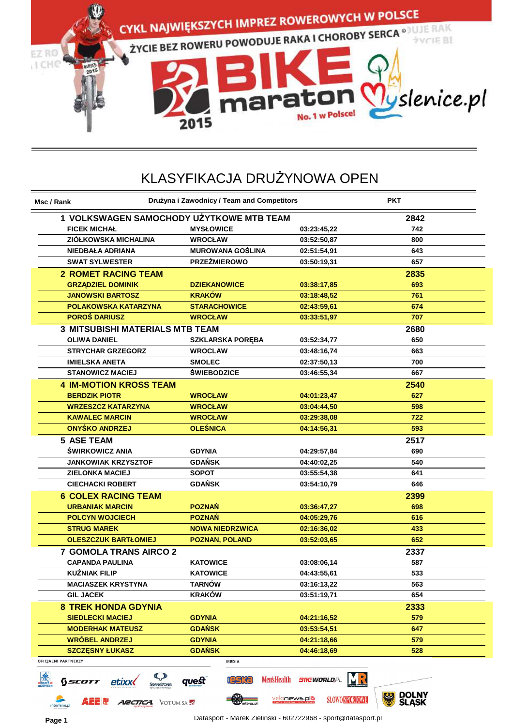

| Msc / Rank                             | Drużyna i Zawodnicy / Team and Competitors |                           | <b>PKT</b>          |
|----------------------------------------|--------------------------------------------|---------------------------|---------------------|
|                                        | 1 VOLKSWAGEN SAMOCHODY UŻYTKOWE MTB TEAM   |                           | 2842                |
| <b>FICEK MICHAL</b>                    | <b>MYSŁOWICE</b>                           | 03:23:45,22               | 742                 |
| <b>ZIOŁKOWSKA MICHALINA</b>            | <b>WROCŁAW</b>                             | 03:52:50,87               | 800                 |
| <b>NIEDBAŁA ADRIANA</b>                | <b>MUROWANA GOŚLINA</b>                    | 02:51:54,91               | 643                 |
| <b>SWAT SYLWESTER</b>                  | <b>PRZEŹMIEROWO</b>                        | 03:50:19,31               | 657                 |
| <b>2 ROMET RACING TEAM</b>             |                                            |                           | 2835                |
| <b>GRZĄDZIEL DOMINIK</b>               | <b>DZIEKANOWICE</b>                        | 03:38:17,85               | 693                 |
| <b>JANOWSKI BARTOSZ</b>                | <b>KRAKÓW</b>                              | 03:18:48,52               | 761                 |
| <b>POLAKOWSKA KATARZYNA</b>            | <b>STARACHOWICE</b>                        | 02:43:59,61               | 674                 |
| <b>POROŚ DARIUSZ</b>                   | <b>WROCŁAW</b>                             | 03:33:51,97               | 707                 |
| <b>3 MITSUBISHI MATERIALS MTB TEAM</b> |                                            |                           | 2680                |
| <b>OLIWA DANIEL</b>                    | <b>SZKLARSKA PORĘBA</b>                    | 03:52:34,77               | 650                 |
| <b>STRYCHAR GRZEGORZ</b>               | <b>WROCLAW</b>                             | 03:48:16,74               | 663                 |
| <b>IMIELSKA ANETA</b>                  | <b>SMOLEC</b>                              | 02:37:50,13               | 700                 |
| <b>STANOWICZ MACIEJ</b>                | <b>ŚWIEBODZICE</b>                         | 03:46:55,34               | 667                 |
| <b>4 IM-MOTION KROSS TEAM</b>          |                                            |                           | 2540                |
| <b>BERDZIK PIOTR</b>                   | <b>WROCŁAW</b>                             | 04:01:23,47               | 627                 |
| <b>WRZESZCZ KATARZYNA</b>              | <b>WROCŁAW</b>                             | 03:04:44,50               | 598                 |
| <b>KAWALEC MARCIN</b>                  | <b>WROCŁAW</b>                             | 03:29:38,08               | 722                 |
| ONYŚKO ANDRZEJ                         | <b>OLEŚNICA</b>                            | 04:14:56,31               | 593                 |
| <b>5 ASE TEAM</b>                      |                                            |                           | 2517                |
| ŚWIRKOWICZ ANIA                        | <b>GDYNIA</b>                              | 04:29:57,84               | 690                 |
| <b>JANKOWIAK KRZYSZTOF</b>             | <b>GDAŃSK</b>                              | 04:40:02,25               | 540                 |
| <b>ZIELONKA MACIEJ</b>                 | <b>SOPOT</b>                               | 03:55:54,38               | 641                 |
| <b>CIECHACKI ROBERT</b>                | <b>GDAŃSK</b>                              | 03:54:10,79               | 646                 |
| <b>6 COLEX RACING TEAM</b>             |                                            |                           | 2399                |
| <b>URBANIAK MARCIN</b>                 | <b>POZNAŃ</b>                              | 03:36:47,27               | 698                 |
| <b>POLCYN WOJCIECH</b>                 | <b>POZNAŃ</b>                              | 04:05:29,76               | 616                 |
| <b>STRUG MAREK</b>                     | <b>NOWA NIEDRZWICA</b>                     | 02:16:36,02               | 433                 |
| <b>OLESZCZUK BARTŁOMIEJ</b>            | <b>POZNAN, POLAND</b>                      | 03:52:03,65               | 652                 |
| <b>7 GOMOLA TRANS AIRCO 2</b>          |                                            |                           | 2337                |
| <b>CAPANDA PAULINA</b>                 | <b>KATOWICE</b>                            | 03:08:06.14               | 587                 |
| <b>KUŻNIAK FILIP</b>                   | <b>KATOWICE</b>                            | 04:43:55,61               | 533                 |
| <b>MACIASZEK KRYSTYNA</b>              | <b>TARNÓW</b>                              | 03:16:13,22               | 563                 |
| <b>GIL JACEK</b>                       | <b>KRAKÓW</b>                              | 03:51:19,71               | 654                 |
| <b>8 TREK HONDA GDYNIA</b>             |                                            |                           | 2333                |
| <b>SIEDLECKI MACIEJ</b>                | <b>GDYNIA</b>                              | 04:21:16,52               | 579                 |
| <b>MODERHAK MATEUSZ</b>                | <b>GDAŃSK</b>                              | 03:53:54,51               | 647                 |
| <b>WRÓBEL ANDRZEJ</b>                  | <b>GDYNIA</b>                              | 04:21:18,66               | 579                 |
| <b>SZCZESNY ŁUKASZ</b>                 | <b>GDAŃSK</b>                              | 04:46:18,69               | 528                 |
| OFICJALNI PARTNERZY                    | MEDIA                                      |                           |                     |
| SSANGYONG<br>etixx(<br>Scott           | quest<br><b>IGSKO</b>                      | Men'sHealth BIKEWORLD, PL | <b>ANAL DAL BIM</b> |

interferie.p

*ARCTICA* VOTUM SA

mtb-xc.pl

velonews.plo

**SLOWO SPORTOWE** 

**SLASK**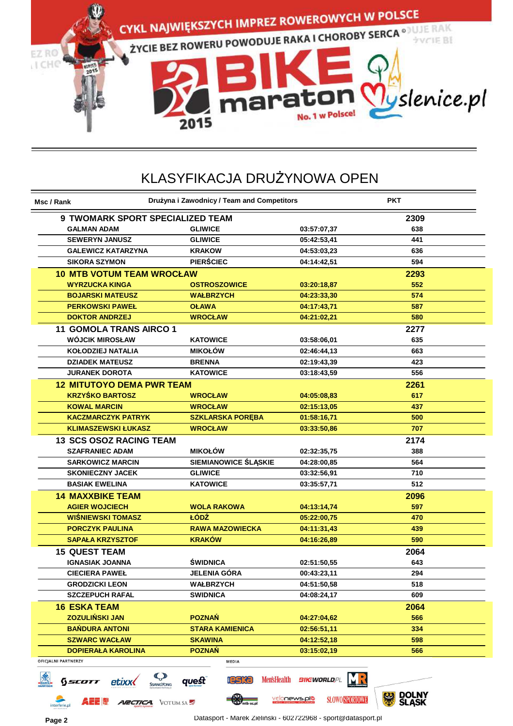

| Msc / Rank                                                | Drużyna i Zawodnicy / Team and Competitors |                           | <b>PKT</b>  |
|-----------------------------------------------------------|--------------------------------------------|---------------------------|-------------|
| <b>9 TWOMARK SPORT SPECIALIZED TEAM</b><br>2309           |                                            |                           |             |
| <b>GALMAN ADAM</b>                                        | <b>GLIWICE</b>                             | 03:57:07,37               | 638         |
| <b>SEWERYN JANUSZ</b>                                     | <b>GLIWICE</b>                             | 05:42:53,41               | 441         |
| <b>GALEWICZ KATARZYNA</b>                                 | <b>KRAKOW</b>                              | 04:53:03,23               | 636         |
| <b>SIKORA SZYMON</b>                                      | <b>PIERŚCIEC</b>                           | 04:14:42,51               | 594         |
| <b>10 MTB VOTUM TEAM WROCŁAW</b>                          |                                            |                           | 2293        |
| <b>WYRZUCKA KINGA</b>                                     | <b>OSTROSZOWICE</b>                        | 03:20:18,87               | 552         |
| <b>BOJARSKI MATEUSZ</b>                                   | <b>WAŁBRZYCH</b>                           | 04:23:33,30               | 574         |
| <b>PERKOWSKI PAWEŁ</b>                                    | <b>OŁAWA</b>                               | 04:17:43,71               | 587         |
| <b>DOKTOR ANDRZEJ</b>                                     | <b>WROCŁAW</b>                             | 04:21:02.21               | 580         |
| <b>11 GOMOLA TRANS AIRCO 1</b>                            |                                            |                           | 2277        |
| <b>WÓJCIK MIROSŁAW</b>                                    | <b>KATOWICE</b>                            | 03:58:06,01               | 635         |
| <b>KOŁODZIEJ NATALIA</b>                                  | <b>MIKOŁÓW</b>                             | 02:46:44,13               | 663         |
| <b>DZIADEK MATEUSZ</b>                                    | <b>BRENNA</b>                              | 02:19:43,39               | 423         |
| <b>JURANEK DOROTA</b>                                     | <b>KATOWICE</b>                            | 03:18:43,59               | 556         |
| <b>12 MITUTOYO DEMA PWR TEAM</b>                          |                                            |                           | 2261        |
| <b>KRZYŚKO BARTOSZ</b>                                    | WROCŁAW                                    | 04:05:08.83               | 617         |
| <b>KOWAL MARCIN</b>                                       | <b>WROCŁAW</b>                             | 02:15:13,05               | 437         |
| <b>KACZMARCZYK PATRYK</b>                                 | <b>SZKLARSKA PORĘBA</b>                    | 01:58:16,71               | 500         |
| <b>KLIMASZEWSKI ŁUKASZ</b>                                | <b>WROCŁAW</b>                             | 03:33:50,86               | 707         |
| <b>13 SCS OSOZ RACING TEAM</b>                            |                                            |                           | 2174        |
| <b>SZAFRANIEC ADAM</b>                                    | <b>MIKOŁÓW</b>                             | 02:32:35,75               | 388         |
| <b>SARKOWICZ MARCIN</b>                                   | SIEMIANOWICE ŚLĄSKIE                       | 04:28:00,85               | 564         |
| <b>SKONIECZNY JACEK</b>                                   | <b>GLIWICE</b>                             | 03:32:56,91               | 710         |
| <b>BASIAK EWELINA</b>                                     | <b>KATOWICE</b>                            | 03:35:57,71               | 512         |
| <b>14 MAXXBIKE TEAM</b>                                   |                                            |                           | 2096        |
| <b>AGIER WOJCIECH</b>                                     | <b>WOLA RAKOWA</b>                         | 04:13:14,74               | 597         |
| <b>WIŚNIEWSKI TOMASZ</b>                                  | ŁÓDŹ                                       | 05:22:00,75               | 470         |
| <b>PORCZYK PAULINA</b>                                    | <b>RAWA MAZOWIECKA</b>                     | 04:11:31,43               | 439         |
| <b>SAPALA KRZYSZTOF</b>                                   | <b>KRAKÓW</b>                              | 04:16:26,89               | 590         |
| <b>15 QUEST TEAM</b>                                      |                                            |                           | 2064        |
| <b>IGNASIAK JOANNA</b>                                    | ŚWIDNICA                                   | 02:51:50,55               | 643         |
| <b>CIECIERA PAWEŁ</b>                                     | JELENIA GÓRA                               | 00:43:23,11               | 294         |
| <b>GRODZICKI LEON</b>                                     | WAŁBRZYCH                                  | 04:51:50,58               | 518         |
| <b>SZCZEPUCH RAFAL</b>                                    | <b>SWIDNICA</b>                            | 04:08:24,17               | 609         |
|                                                           |                                            |                           |             |
| <b>16 ESKA TEAM</b><br><b>ZOZULIŃSKI JAN</b>              | <b>POZNAŃ</b>                              | 04:27:04,62               | 2064<br>566 |
| <b>BAŃDURA ANTONI</b>                                     | <b>STARA KAMIENICA</b>                     | 02:56:51,11               | 334         |
| <b>SZWARC WACŁAW</b>                                      | <b>SKAWINA</b>                             | 04:12:52,18               | 598         |
| <b>DOPIERAŁA KAROLINA</b>                                 | <b>POZNAŃ</b>                              |                           | 566         |
| OFICJALNI PARTNERZY                                       | MEDIA                                      | 03:15:02,19               |             |
| $\bm{\mathcal{G}}$<br>etixx<br>Sscott<br><b>SSANGYONG</b> | <b>IGSKa</b><br>quest                      | Men'sHealth BIKEWORLD, PL |             |

interferie.pl

**ARCTICA** VOTUM SA

**Page 2** Datasport - Marek Zieliński - 602722968 - sport@datasport.pl

mtb-xc.pl

velonews.plo

**SLOWO SPORTOWE** 

DOLNY<br>ŚLASK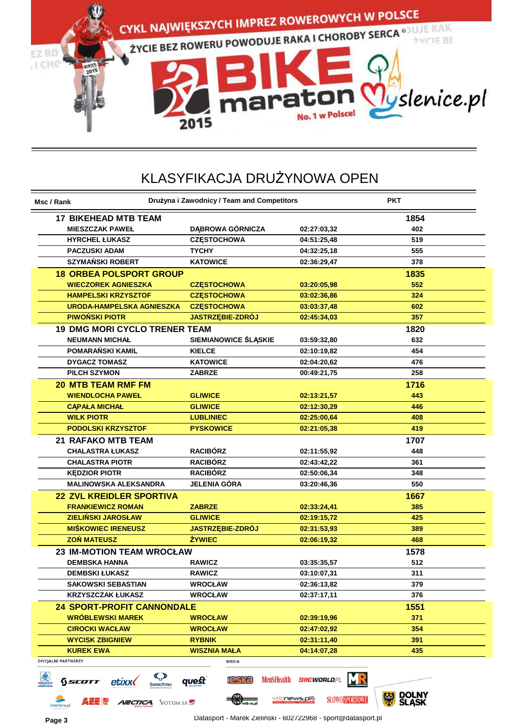

| Msc / Rank                                     |                                            | Drużyna i Zawodnicy / Team and Competitors           |                                       | <b>PKT</b>          |
|------------------------------------------------|--------------------------------------------|------------------------------------------------------|---------------------------------------|---------------------|
| <b>17 BIKEHEAD MTB TEAM</b>                    |                                            |                                                      |                                       | 1854                |
| <b>MIESZCZAK PAWEŁ</b>                         |                                            | <b>DABROWA GÓRNICZA</b>                              | 02:27:03,32                           | 402                 |
| <b>HYRCHEL ŁUKASZ</b>                          |                                            | <b>CZESTOCHOWA</b>                                   | 04:51:25,48                           | 519                 |
| <b>PACZUSKI ADAM</b>                           |                                            | <b>TYCHY</b>                                         | 04:32:25,18                           | 555                 |
| <b>SZYMAŃSKI ROBERT</b>                        |                                            | <b>KATOWICE</b>                                      | 02:36:29,47                           | 378                 |
|                                                | <b>18 ORBEA POLSPORT GROUP</b>             |                                                      |                                       | 1835                |
| <b>WIECZOREK AGNIESZKA</b>                     |                                            | <b>CZĘSTOCHOWA</b>                                   | 03:20:05,98                           | 552                 |
| <b>HAMPELSKI KRZYSZTOF</b>                     |                                            | <b>CZESTOCHOWA</b>                                   | 03:02:36,86                           | 324                 |
|                                                | <b>URODA-HAMPELSKA AGNIESZKA</b>           | <b>CZESTOCHOWA</b>                                   | 03:03:37,48                           | 602                 |
| <b>PIWOŃSKI PIOTR</b>                          |                                            | JASTRZĘBIE-ZDRÓJ                                     | 02:45:34,03                           | 357                 |
|                                                | <b>19 DMG MORI CYCLO TRENER TEAM</b>       |                                                      |                                       | 1820                |
| <b>NEUMANN MICHAL</b>                          |                                            | SIEMIANOWICE ŚLĄSKIE                                 | 03:59:32,80                           | 632                 |
| POMARAŃSKI KAMIL                               |                                            | <b>KIELCE</b>                                        | 02:10:19,82                           | 454                 |
| <b>DYGACZ TOMASZ</b>                           |                                            | <b>KATOWICE</b>                                      | 02:04:20,62                           | 476                 |
| <b>PILCH SZYMON</b>                            |                                            | <b>ZABRZE</b>                                        | 00:49:21,75                           | 258                 |
| <b>20 MTB TEAM RMF FM</b>                      |                                            |                                                      |                                       | 1716                |
| <b>WIENDLOCHA PAWEŁ</b>                        |                                            | <b>GLIWICE</b>                                       | 02:13:21,57                           | 443                 |
| <b>CAPALA MICHAL</b>                           |                                            | <b>GLIWICE</b>                                       | 02:12:30,29                           | 446                 |
| <b>WILK PIOTR</b>                              |                                            | <b>LUBLINIEC</b>                                     | 02:25:00.64                           | 408                 |
| <b>PODOLSKI KRZYSZTOF</b>                      |                                            | <b>PYSKOWICE</b>                                     | 02:21:05,38                           | 419                 |
| <b>21 RAFAKO MTB TEAM</b>                      |                                            |                                                      |                                       | 1707                |
| <b>CHALASTRA ŁUKASZ</b>                        |                                            | <b>RACIBÓRZ</b>                                      | 02:11:55,92                           | 448                 |
| <b>CHALASTRA PIOTR</b>                         |                                            | <b>RACIBÓRZ</b>                                      | 02:43:42,22                           | 361                 |
| <b>KEDZIOR PIOTR</b>                           |                                            | <b>RACIBÓRZ</b>                                      | 02:50:06,34                           | 348                 |
|                                                | <b>MALINOWSKA ALEKSANDRA</b>               | <b>JELENIA GÓRA</b>                                  | 03:20:46,36                           | 550                 |
|                                                | <b>22 ZVL KREIDLER SPORTIVA</b>            |                                                      |                                       | 1667                |
| <b>FRANKIEWICZ ROMAN</b>                       |                                            | <b>ZABRZE</b>                                        |                                       | 385                 |
| <b>ZIELIŃSKI JAROSŁAW</b>                      |                                            | <b>GLIWICE</b>                                       | 02:33:24,41<br>02:19:15,72            | 425                 |
| <b>MIŚKOWIEC IRENEUSZ</b>                      |                                            | <b>JASTRZĘBIE-ZDRÓJ</b>                              | 02:31:53,93                           | 389                 |
| <b>ZON MATEUSZ</b>                             |                                            | <b>ŻYWIEC</b>                                        | 02:06:19,32                           | 468                 |
|                                                |                                            |                                                      |                                       |                     |
|                                                | <b>23 IM-MOTION TEAM WROCŁAW</b>           |                                                      |                                       | 1578                |
| <b>DEMBSKA HANNA</b>                           |                                            | <b>RAWICZ</b>                                        | 03:35:35,57                           | 512                 |
| <b>DEMBSKI ŁUKASZ</b>                          |                                            | <b>RAWICZ</b>                                        | 03:10:07,31                           | 311                 |
| <b>SAKOWSKI SEBASTIAN</b>                      |                                            | <b>WROCŁAW</b>                                       | 02:36:13,82                           | 379                 |
| <b>KRZYSZCZAK ŁUKASZ</b>                       |                                            | <b>WROCŁAW</b>                                       | 02:37:17,11                           | 376                 |
|                                                | <b>24 SPORT-PROFIT CANNONDALE</b>          |                                                      |                                       | 1551                |
| <b>WRÓBLEWSKI MAREK</b>                        |                                            | <b>WROCŁAW</b>                                       | 02:39:19,96                           | 371                 |
| <b>CIROCKI WACŁAW</b>                          |                                            | <b>WROCŁAW</b>                                       | 02:47:02,92                           | 354                 |
| <b>WYCISK ZBIGNIEW</b>                         |                                            | <b>RYBNIK</b>                                        | 02:31:11,40                           | 391                 |
| <b>KUREK EWA</b><br><b>OFICJALNI PARTNERZY</b> |                                            | <b>WISZNIA MAŁA</b>                                  | 04:14:07,28                           | 435                 |
| SEC<br>Scott                                   | $\mathcal{Q}$<br>etixx<br><b>SSANGYONG</b> | MEDIA<br><b>Men'sHealth</b><br><b>reska</b><br>quest | <b>BIKEWORLD, PL</b>                  |                     |
| <b>AEE R</b><br>interferie.pl                  | <b>ARCTICA</b> VOTUM SA                    | mtb-xc.pl                                            | velonews.plo<br><b>SLOWO SPORTOWE</b> | DOLNY<br>ŚLĄSK<br>黑 |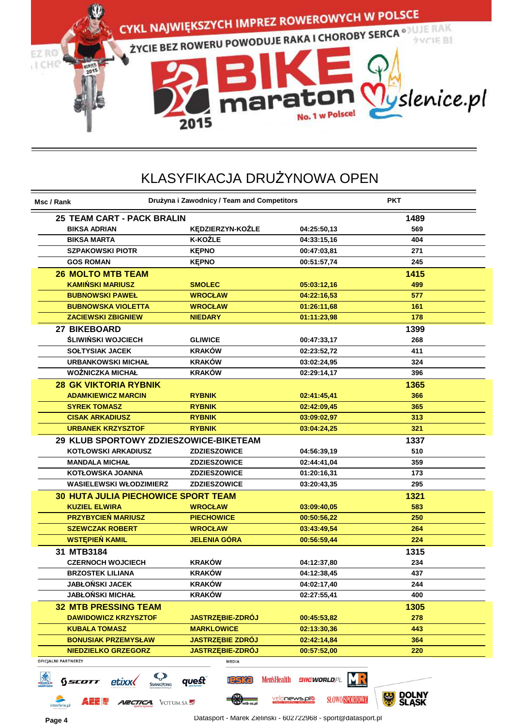

| Msc / Rank                                                                | Drużyna i Zawodnicy / Team and Competitors |                                              | <b>PKT</b>          |
|---------------------------------------------------------------------------|--------------------------------------------|----------------------------------------------|---------------------|
| 25 TEAM CART - PACK BRALIN                                                |                                            |                                              | 1489                |
| <b>BIKSA ADRIAN</b>                                                       | KĘDZIERZYN-KOŹLE                           | 04:25:50,13                                  | 569                 |
| <b>BIKSA MARTA</b>                                                        | <b>K-KOŹLE</b>                             | 04:33:15,16                                  | 404                 |
| <b>SZPAKOWSKI PIOTR</b>                                                   | <b>KEPNO</b>                               | 00:47:03,81                                  | 271                 |
| <b>GOS ROMAN</b>                                                          | <b>KEPNO</b>                               | 00:51:57,74                                  | 245                 |
| <b>26 MOLTO MTB TEAM</b>                                                  |                                            |                                              | 1415                |
| <b>KAMIŃSKI MARIUSZ</b>                                                   | <b>SMOLEC</b>                              | 05:03:12,16                                  | 499                 |
| <b>BUBNOWSKI PAWEŁ</b>                                                    | <b>WROCŁAW</b>                             | 04:22:16,53                                  | 577                 |
| <b>BUBNOWSKA VIOLETTA</b>                                                 | <b>WROCŁAW</b>                             | 01:26:11,68                                  | 161                 |
| <b>ZACIEWSKI ZBIGNIEW</b>                                                 | <b>NIEDARY</b>                             | 01:11:23,98                                  | 178                 |
| <b>27 BIKEBOARD</b>                                                       |                                            |                                              | 1399                |
| <b>ŚLIWIŃSKI WOJCIECH</b>                                                 | <b>GLIWICE</b>                             | 00:47:33,17                                  | 268                 |
| <b>SOLTYSIAK JACEK</b>                                                    | <b>KRAKÓW</b>                              | 02:23:52,72                                  | 411                 |
| <b>URBANKOWSKI MICHAŁ</b>                                                 | <b>KRAKÓW</b>                              | 03:02:24,95                                  | 324                 |
| <b>WOŹNICZKA MICHAŁ</b>                                                   | <b>KRAKÓW</b>                              | 02:29:14,17                                  | 396                 |
| <b>28 GK VIKTORIA RYBNIK</b>                                              |                                            |                                              | 1365                |
| <b>ADAMKIEWICZ MARCIN</b>                                                 | <b>RYBNIK</b>                              | 02:41:45,41                                  | 366                 |
| <b>SYREK TOMASZ</b>                                                       | <b>RYBNIK</b>                              | 02:42:09,45                                  | 365                 |
| <b>CISAK ARKADIUSZ</b>                                                    | <b>RYBNIK</b>                              | 03:09:02.97                                  | 313                 |
| <b>URBANEK KRZYSZTOF</b>                                                  | <b>RYBNIK</b>                              | 03:04:24,25                                  | 321                 |
| 29 KLUB SPORTOWY ZDZIESZOWICE-BIKETEAM                                    |                                            |                                              | 1337                |
| <b>KOTŁOWSKI ARKADIUSZ</b>                                                | <b>ZDZIESZOWICE</b>                        | 04:56:39,19                                  | 510                 |
| <b>MANDALA MICHAL</b>                                                     | <b>ZDZIESZOWICE</b>                        | 02:44:41,04                                  | 359                 |
| KOTŁOWSKA JOANNA                                                          | <b>ZDZIESZOWICE</b>                        | 01:20:16,31                                  | 173                 |
| <b>WASIELEWSKI WŁODZIMIERZ</b>                                            | <b>ZDZIESZOWICE</b>                        | 03:20:43,35                                  | 295                 |
|                                                                           |                                            |                                              |                     |
| <b>30 HUTA JULIA PIECHOWICE SPORT TEAM</b>                                |                                            |                                              | 1321                |
| <b>KUZIEL ELWIRA</b><br><b>PRZYBYCIEŃ MARIUSZ</b>                         | <b>WROCŁAW</b>                             | 03:09:40,05                                  | 583                 |
|                                                                           | <b>PIECHOWICE</b>                          | 00:50:56,22                                  | 250                 |
| <b>SZEWCZAK ROBERT</b>                                                    | <b>WROCŁAW</b>                             | 03:43:49,54                                  | 264                 |
| <b>WSTEPIEN KAMIL</b>                                                     | <b>JELENIA GÓRA</b>                        | 00:56:59,44                                  | 224                 |
| 31 MTB3184                                                                |                                            |                                              | 1315                |
| <b>CZERNOCH WOJCIECH</b>                                                  | <b>KRAKÓW</b>                              | 04:12:37,80                                  | 234                 |
| <b>BRZOSTEK LILIANA</b>                                                   | <b>KRAKÓW</b>                              | 04:12:38,45                                  | 437                 |
| <b>JABŁOŃSKI JACEK</b>                                                    | <b>KRAKÓW</b>                              | 04:02:17,40                                  | 244                 |
| <b>JABŁOŃSKI MICHAŁ</b>                                                   | <b>KRAKÓW</b>                              | 02:27:55,41                                  | 400                 |
| <b>32 MTB PRESSING TEAM</b>                                               |                                            |                                              | 1305                |
| <b>DAWIDOWICZ KRZYSZTOF</b>                                               | <b>JASTRZĘBIE-ZDRÓJ</b>                    | 00:45:53,82                                  | 278                 |
| <b>KUBALA TOMASZ</b>                                                      | <b>MARKLOWICE</b>                          | 02:13:30,36                                  | 443                 |
| <b>BONUSIAK PRZEMYSŁAW</b>                                                | <b>JASTRZEBIE ZDRÓJ</b>                    | 02:42:14,84                                  | 364                 |
| <b>NIEDZIELKO GRZEGORZ</b>                                                | <b>JASTRZEBIE-ZDRÓJ</b>                    | 00:57:52,00                                  | 220                 |
| OFICJALNI PARTNERZY<br>$\mathbb{C}$<br>etixx<br>SCOTT<br><b>SSANGYONG</b> | MEDIA<br>quest<br>reska                    | Men'sHealth BIKEWORLD, PL                    |                     |
| <b>AEE !</b><br><b>ARCTICA</b> VOTUM SA                                   | mtb-xc.pl                                  | <u>velonews.plo</u><br><b>SLOWO SPORTOWE</b> | DOLNY<br>SLASK<br>※ |

interferie.pl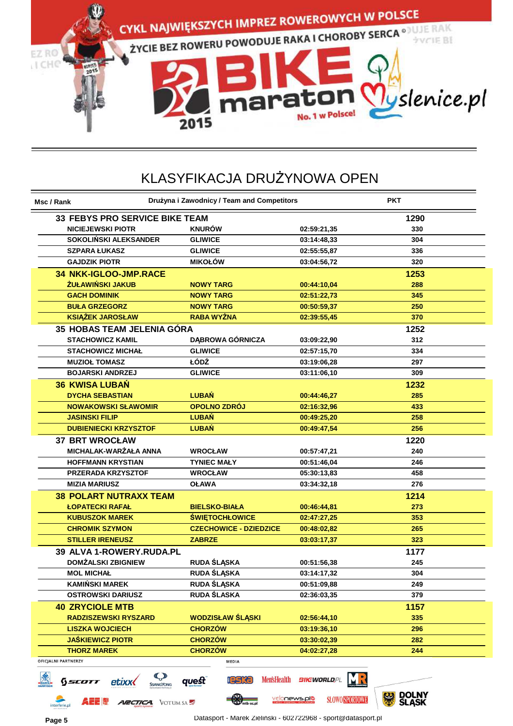

| Msc / Rank                            | Drużyna i Zawodnicy / Team and Competitors |                           | <b>PKT</b>          |
|---------------------------------------|--------------------------------------------|---------------------------|---------------------|
| <b>33 FEBYS PRO SERVICE BIKE TEAM</b> |                                            |                           | 1290                |
| <b>NICIEJEWSKI PIOTR</b>              | <b>KNURÓW</b>                              | 02:59:21,35               | 330                 |
| SOKOLIŃSKI ALEKSANDER                 | <b>GLIWICE</b>                             | 03:14:48,33               | 304                 |
| <b>SZPARA ŁUKASZ</b>                  | <b>GLIWICE</b>                             | 02:55:55,87               | 336                 |
| <b>GAJDZIK PIOTR</b>                  | <b>MIKOŁÓW</b>                             | 03:04:56,72               | 320                 |
| <b>34 NKK-IGLOO-JMP.RACE</b>          |                                            |                           | 1253                |
| ŻUŁAWIŃSKI JAKUB                      | <b>NOWY TARG</b>                           | 00:44:10,04               | 288                 |
| <b>GACH DOMINIK</b>                   | <b>NOWY TARG</b>                           | 02:51:22,73               | 345                 |
| <b>BUŁA GRZEGORZ</b>                  | <b>NOWY TARG</b>                           | 00:50:59,37               | 250                 |
| <b>KSIĄŻEK JAROSŁAW</b>               | <b>RABA WYŻNA</b>                          | 02:39:55,45               | 370                 |
| <b>35 HOBAS TEAM JELENIA GÓRA</b>     |                                            |                           | 1252                |
| <b>STACHOWICZ KAMIL</b>               | <b>DABROWA GÓRNICZA</b>                    | 03:09:22,90               | 312                 |
| <b>STACHOWICZ MICHAŁ</b>              | <b>GLIWICE</b>                             | 02:57:15,70               | 334                 |
| <b>MUZIOŁ TOMASZ</b>                  | ŁÓDŹ                                       | 03:19:06,28               | 297                 |
| <b>BOJARSKI ANDRZEJ</b>               | <b>GLIWICE</b>                             | 03:11:06,10               | 309                 |
| <b>36 KWISA LUBAN</b>                 |                                            |                           | 1232                |
| <b>DYCHA SEBASTIAN</b>                | <b>LUBAŃ</b>                               | 00:44:46,27               | 285                 |
| <b>NOWAKOWSKI SŁAWOMIR</b>            | OPOLNO ZDRÓJ                               | 02:16:32,96               | 433                 |
| <b>JASINSKI FILIP</b>                 | <b>LUBAŃ</b>                               | 00:49:25,20               | 258                 |
| <b>DUBIENIECKI KRZYSZTOF</b>          | <b>LUBAŃ</b>                               | 00:49:47,54               | 256                 |
| <b>37 BRT WROCŁAW</b>                 |                                            |                           | 1220                |
| MICHALAK-WARŻAŁA ANNA                 | <b>WROCŁAW</b>                             | 00:57:47,21               | 240                 |
| <b>HOFFMANN KRYSTIAN</b>              | <b>TYNIEC MAŁY</b>                         | 00:51:46,04               | 246                 |
| <b>PRZERADA KRZYSZTOF</b>             | <b>WROCŁAW</b>                             | 05:30:13,83               | 458                 |
| <b>MIZIA MARIUSZ</b>                  | <b>OŁAWA</b>                               | 03:34:32,18               | 276                 |
| <b>38 POLART NUTRAXX TEAM</b>         |                                            |                           | 1214                |
| <b>ŁOPATECKI RAFAŁ</b>                | <b>BIELSKO-BIAŁA</b>                       | 00:46:44,81               | 273                 |
| <b>KUBUSZOK MAREK</b>                 | <b>ŚWIĘTOCHŁOWICE</b>                      | 02:47:27,25               | 353                 |
| <b>CHROMIK SZYMON</b>                 | <b>CZECHOWICE - DZIEDZICE</b>              | 00:48:02,82               | 265                 |
| <b>STILLER IRENEUSZ</b>               | <b>ZABRZE</b>                              | 03:03:17.37               | 323                 |
| 39 ALVA 1-ROWERY.RUDA.PL              |                                            |                           | 1177                |
| <b>DOMŻALSKI ZBIGNIEW</b>             | <b>RUDA ŚLĄSKA</b>                         | 00:51:56,38               | 245                 |
| <b>MOL MICHAL</b>                     | <b>RUDA ŚLĄSKA</b>                         | 03:14:17,32               | 304                 |
| <b>KAMIŃSKI MAREK</b>                 | <b>RUDA SLĄSKA</b>                         | 00:51:09,88               | 249                 |
| <b>OSTROWSKI DARIUSZ</b>              | <b>RUDA ŚLASKA</b>                         | 02:36:03,35               | 379                 |
| <b>40 ZRYCIOLE MTB</b>                |                                            |                           | 1157                |
| <b>RADZISZEWSKI RYSZARD</b>           | <b>WODZISŁAW ŚLĄSKI</b>                    | 02:56:44,10               | 335                 |
| <b>LISZKA WOJCIECH</b>                | <b>CHORZÓW</b>                             | 03:19:36,10               | 296                 |
| <b>JAŚKIEWICZ PIOTR</b>               | <b>CHORZOW</b>                             | 03:30:02,39               | 282                 |
| <b>THORZ MAREK</b>                    | <b>CHORZÓW</b>                             | 04:02:27,28               | 244                 |
| OFICJALNI PARTNERZY                   | <b>MEDIA</b>                               |                           |                     |
| <b>C</b><br>etixx <b></b><br>Sscott   | quest<br><b>leska</b>                      | Men'sHealth BIKEWORLD, PL | <b>ANAL DAI NIV</b> |

interferie.pl

**A 22 50** 

*ARCTICA* VOTUM SA

**Memb**-xc.pl

velonews.plo

**SLOWO SPORTOWE** 

**SLASK**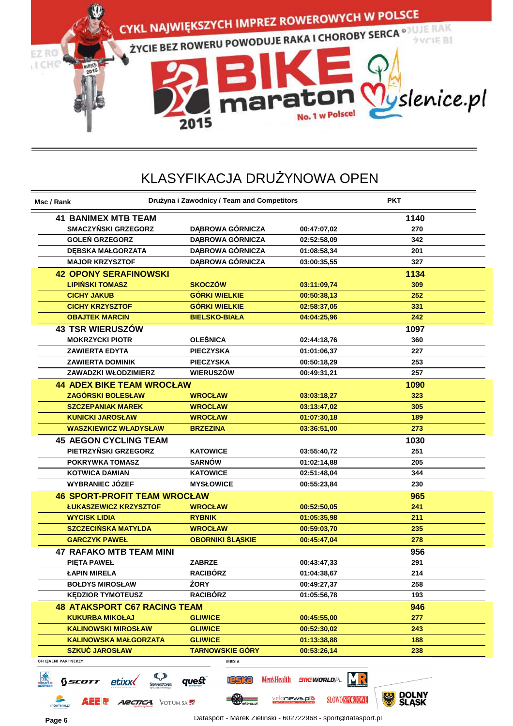

| 00:47:07,02<br>02:52:58,09<br>01:08:58,34<br>03:00:35,55<br>03:11:09,74<br>00:50:38,13<br>02:58:37,05<br>04:04:25,96<br>02:44:18,76<br>01:01:06,37<br>00:50:18,29<br>00:49:31,21<br>03:03:18,27<br>03:13:47.02<br>01:07:30,18<br>03:36:51,00<br>03:55:40,72 | 1140<br>270<br>342<br>201<br>327<br>1134<br>309<br>252<br>331<br>242<br>1097<br>360<br>227<br>253<br>257<br>1090<br>323<br>305<br>189<br>273<br>1030<br>251 |
|-------------------------------------------------------------------------------------------------------------------------------------------------------------------------------------------------------------------------------------------------------------|-------------------------------------------------------------------------------------------------------------------------------------------------------------|
|                                                                                                                                                                                                                                                             |                                                                                                                                                             |
|                                                                                                                                                                                                                                                             |                                                                                                                                                             |
|                                                                                                                                                                                                                                                             |                                                                                                                                                             |
|                                                                                                                                                                                                                                                             |                                                                                                                                                             |
|                                                                                                                                                                                                                                                             |                                                                                                                                                             |
|                                                                                                                                                                                                                                                             |                                                                                                                                                             |
|                                                                                                                                                                                                                                                             |                                                                                                                                                             |
|                                                                                                                                                                                                                                                             |                                                                                                                                                             |
|                                                                                                                                                                                                                                                             |                                                                                                                                                             |
|                                                                                                                                                                                                                                                             |                                                                                                                                                             |
|                                                                                                                                                                                                                                                             |                                                                                                                                                             |
|                                                                                                                                                                                                                                                             |                                                                                                                                                             |
|                                                                                                                                                                                                                                                             |                                                                                                                                                             |
|                                                                                                                                                                                                                                                             |                                                                                                                                                             |
|                                                                                                                                                                                                                                                             |                                                                                                                                                             |
|                                                                                                                                                                                                                                                             |                                                                                                                                                             |
|                                                                                                                                                                                                                                                             |                                                                                                                                                             |
|                                                                                                                                                                                                                                                             |                                                                                                                                                             |
|                                                                                                                                                                                                                                                             |                                                                                                                                                             |
|                                                                                                                                                                                                                                                             |                                                                                                                                                             |
|                                                                                                                                                                                                                                                             |                                                                                                                                                             |
|                                                                                                                                                                                                                                                             |                                                                                                                                                             |
| 01:02:14,88                                                                                                                                                                                                                                                 | 205                                                                                                                                                         |
| 02:51:48,04                                                                                                                                                                                                                                                 | 344                                                                                                                                                         |
| 00:55:23,84                                                                                                                                                                                                                                                 | 230                                                                                                                                                         |
|                                                                                                                                                                                                                                                             | 965                                                                                                                                                         |
| 00:52:50,05                                                                                                                                                                                                                                                 | 241                                                                                                                                                         |
| 01:05:35,98                                                                                                                                                                                                                                                 | 211                                                                                                                                                         |
| 00:59:03,70                                                                                                                                                                                                                                                 | 235                                                                                                                                                         |
| 00:45:47,04                                                                                                                                                                                                                                                 | 278                                                                                                                                                         |
|                                                                                                                                                                                                                                                             | 956                                                                                                                                                         |
| 00:43:47,33                                                                                                                                                                                                                                                 | 291                                                                                                                                                         |
| 01:04:38.67                                                                                                                                                                                                                                                 | 214                                                                                                                                                         |
| 00:49:27,37                                                                                                                                                                                                                                                 | 258                                                                                                                                                         |
| 01:05:56,78                                                                                                                                                                                                                                                 | 193                                                                                                                                                         |
|                                                                                                                                                                                                                                                             | 946                                                                                                                                                         |
| 00:45:55,00                                                                                                                                                                                                                                                 | 277                                                                                                                                                         |
| 00:52:30,02                                                                                                                                                                                                                                                 | 243                                                                                                                                                         |
| 01:13:38,88                                                                                                                                                                                                                                                 | 188                                                                                                                                                         |
|                                                                                                                                                                                                                                                             | 238                                                                                                                                                         |
| 00:53:26,14                                                                                                                                                                                                                                                 |                                                                                                                                                             |
|                                                                                                                                                                                                                                                             |                                                                                                                                                             |

interferie.pl